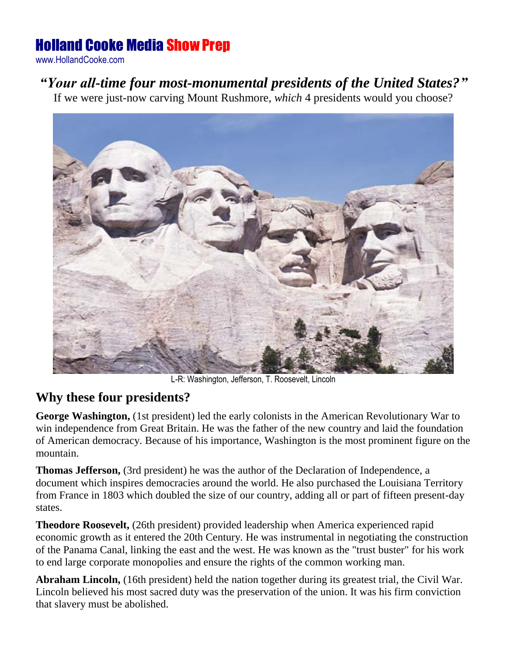## Holland Cooke Media Show Prep

www.HollandCooke.com

## *"Your all-time four most-monumental presidents of the United States?"*

If we were just-now carving Mount Rushmore, *which* 4 presidents would you choose?



L-R: Washington, Jefferson, T. Roosevelt, Lincoln

## **Why these four presidents?**

**George Washington,** (1st president) led the early colonists in the American Revolutionary War to win independence from Great Britain. He was the father of the new country and laid the foundation of American democracy. Because of his importance, Washington is the most prominent figure on the mountain.

**Thomas Jefferson,** (3rd president) he was the author of the Declaration of Independence, a document which inspires democracies around the world. He also purchased the Louisiana Territory from France in 1803 which doubled the size of our country, adding all or part of fifteen present-day states.

**Theodore Roosevelt,** (26th president) provided leadership when America experienced rapid economic growth as it entered the 20th Century. He was instrumental in negotiating the construction of the Panama Canal, linking the east and the west. He was known as the "trust buster" for his work to end large corporate monopolies and ensure the rights of the common working man.

**Abraham Lincoln,** (16th president) held the nation together during its greatest trial, the Civil War. Lincoln believed his most sacred duty was the preservation of the union. It was his firm conviction that slavery must be abolished.